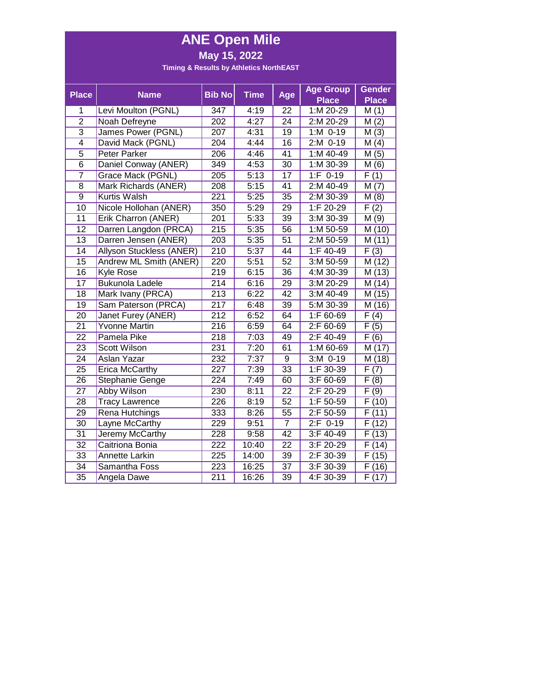### **ANE Open Mile**

**May 15, 2022**

**Timing & Results by Athletics NorthEAST**

| <b>Place</b>              | <b>Name</b>              | <b>Bib No</b>    | <b>Time</b> | Age             | <b>Age Group</b><br><b>Place</b> | <b>Gender</b><br><b>Place</b> |
|---------------------------|--------------------------|------------------|-------------|-----------------|----------------------------------|-------------------------------|
| 1                         | Levi Moulton (PGNL)      | 347              | 4:19        | $\overline{22}$ | 1:M 20-29                        | M(1)                          |
| $\overline{2}$            | Noah Defreyne            | 202              | 4:27        | $\overline{24}$ | 2:M 20-29                        | M(2)                          |
| $\overline{\overline{3}}$ | James Power (PGNL)       | 207              | 4:31        | $\overline{19}$ | 1:M 0-19                         | M(3)                          |
| $\overline{4}$            | David Mack (PGNL)        | 204              | 4:44        | 16              | 2:M 0-19                         | M(4)                          |
| $\overline{5}$            | <b>Peter Parker</b>      | 206              | 4:46        | $\overline{41}$ | $1: M$ 40-49                     | M(5)                          |
| $\overline{6}$            | Daniel Conway (ANER)     | 349              | 4:53        | $\overline{30}$ | 1:M 30-39                        | M(6)                          |
|                           | Grace Mack (PGNL)        | 205              | 5:13        | $\overline{17}$ | $1: F 0-19$                      | F(1)                          |
| $\overline{8}$            | Mark Richards (ANER)     | 208              | 5:15        | 41              | 2:M 40-49                        | M(7)                          |
| $\overline{9}$            | Kurtis Walsh             | 221              | 5:25        | $\overline{35}$ | 2:M 30-39                        | M(8)                          |
| 10                        | Nicole Hollohan (ANER)   | 350              | 5:29        | $\overline{29}$ | 1:F 20-29                        | F(2)                          |
| $\overline{11}$           | Erik Charron (ANER)      | 201              | 5:33        | 39              | 3:M 30-39                        | M(9)                          |
| $\overline{12}$           | Darren Langdon (PRCA)    | 215              | 5:35        | 56              | 1:M 50-59                        | $\overline{M}$ (10)           |
| $\overline{13}$           | Darren Jensen (ANER)     | 203              | 5:35        | $\overline{51}$ | 2:M 50-59                        | M (11)                        |
| $\overline{14}$           | Allyson Stuckless (ANER) | $\overline{210}$ | 5:37        | $\overline{44}$ | 1:F 40-49                        | F(3)                          |
| $\overline{15}$           | Andrew ML Smith (ANER)   | 220              | 5:51        | $\overline{52}$ | 3:M 50-59                        | $\overline{M}(12)$            |
| 16                        | Kyle Rose                | 219              | 6:15        | $\overline{36}$ | 4:M 30-39                        | $\overline{M(13)}$            |
| $\overline{17}$           | <b>Bukunola Ladele</b>   | 214              | 6:16        | $\overline{29}$ | 3:M 20-29                        | M (14)                        |
| $\overline{18}$           | Mark Ivany (PRCA)        | 213              | 6:22        | $\overline{42}$ | 3:M 40-49                        | $\overline{M(15)}$            |
| $\overline{19}$           | Sam Paterson (PRCA)      | 217              | 6:48        | 39              | 5:M 30-39                        | M (16)                        |
| $\overline{20}$           | Janet Furey (ANER)       | 212              | 6:52        | 64              | 1:F 60-69                        | F(4)                          |
| $\overline{21}$           | <b>Yvonne Martin</b>     | 216              | 6:59        | 64              | 2:F 60-69                        | $\overline{F(5)}$             |
| $\overline{22}$           | <b>Pamela Pike</b>       | $\overline{218}$ | 7:03        | 49              | 2:F 40-49                        | F(6)                          |
| $\overline{23}$           | Scott Wilson             | 231              | 7:20        | $\overline{61}$ | 1:M 60-69                        | M (17)                        |
| $\overline{24}$           | Aslan Yazar              | 232              | 7:37        | $\overline{9}$  | 3:M 0-19                         | M (18)                        |
| $\overline{25}$           | Erica McCarthy           | $\overline{227}$ | 7:39        | $\overline{33}$ | $1:$ F 30-39                     | F(7)                          |
| $\overline{26}$           | Stephanie Genge          | $\overline{224}$ | 7:49        | $\overline{60}$ | $3:$ F 60-69                     | F(8)                          |
| $\overline{27}$           | Abby Wilson              | 230              | 8:11        | $\overline{22}$ | 2:F 20-29                        | F(9)                          |
| 28                        | <b>Tracy Lawrence</b>    | 226              | 8:19        | $\overline{52}$ | 1:F 50-59                        | F(10)                         |
| 29                        | Rena Hutchings           | 333              | 8:26        | $\overline{55}$ | 2:F 50-59                        | F(11)                         |
| $\overline{30}$           | Layne McCarthy           | 229              | 9:51        | $\overline{7}$  | 2:F 0-19                         | F(12)                         |
| $\overline{31}$           | Jeremy McCarthy          | 228              | 9:58        | $\overline{42}$ | 3:F 40-49                        | F(13)                         |
| $\overline{32}$           | Caitriona Bonia          | 222              | 10:40       | $\overline{22}$ | 3:F 20-29                        | F(14)                         |
| $\overline{33}$           | Annette Larkin           | 225              | 14:00       | 39              | 2:F 30-39                        | F(15)                         |
| $\overline{34}$           | Samantha Foss            | 223              | 16:25       | $\overline{37}$ | 3:F 30-39                        | F(16)                         |
| $\overline{35}$           | Angela Dawe              | 211              | 16:26       | 39              | 4:F 30-39                        | F(17)                         |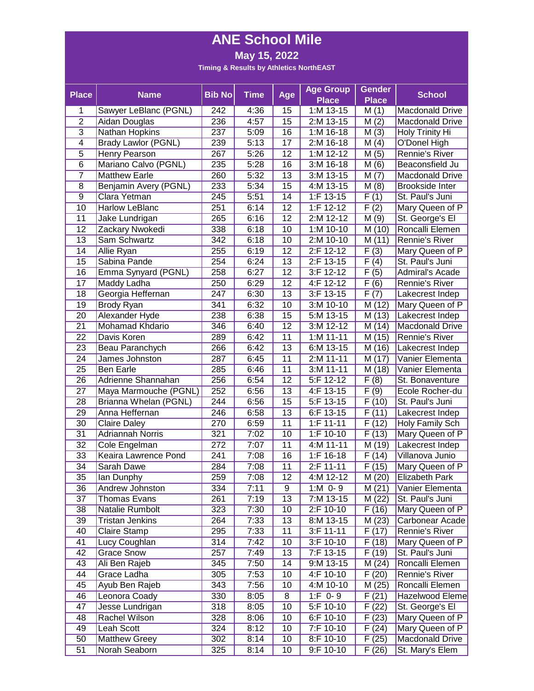# **ANE School Mile**

**Timing & Results by Athletics NorthEAST May 15, 2022**

| <b>Place</b>    |                            | <b>Bib No</b>    | <b>Time</b> | Age             | <b>Age Group</b> | <b>Gender</b>               | <b>School</b>          |
|-----------------|----------------------------|------------------|-------------|-----------------|------------------|-----------------------------|------------------------|
|                 | <b>Name</b>                |                  |             |                 | <b>Place</b>     | <b>Place</b>                |                        |
| 1               | Sawyer LeBlanc (PGNL)      | 242              | 4:36        | 15              | 1:M 13-15        | M(1)                        | <b>Macdonald Drive</b> |
| $\overline{2}$  | Aidan Douglas              | 236              | 4:57        | $\overline{15}$ | 2:M 13-15        | M(2)                        | <b>Macdonald Drive</b> |
| $\overline{3}$  | <b>Nathan Hopkins</b>      | 237              | 5:09        | $\overline{16}$ | 1:M 16-18        | M(3)                        | Holy Trinity Hi        |
| 4               | <b>Brady Lawlor (PGNL)</b> | 239              | 5:13        | $\overline{17}$ | 2:M 16-18        | M(4)                        | O'Donel High           |
| $\overline{5}$  | Henry Pearson              | $\overline{267}$ | 5:26        | $\overline{12}$ | 1:M 12-12        | M(5)                        | Rennie's River         |
| 6               | Mariano Calvo (PGNL)       | 235              | 5:28        | 16              | 3:M 16-18        | M(6)                        | Beaconsfield Ju        |
| $\overline{7}$  | <b>Matthew Earle</b>       | 260              | 5:32        | $\overline{13}$ | 3:M 13-15        | M<br>(7)                    | <b>Macdonald Drive</b> |
| 8               | Benjamin Avery (PGNL)      | 233              | 5:34        | $\overline{15}$ | 4:M 13-15        | M(8)                        | <b>Brookside Inter</b> |
| $\overline{9}$  | Clara Yetman               | 245              | 5:51        | $\overline{14}$ | 1:F 13-15        | $\overline{F(1)}$           | St. Paul's Juni        |
| 10              | Harlow LeBlanc             | 251              | 6:14        | $\overline{12}$ | 1:F 12-12        | $\overline{F(2)}$           | Mary Queen of P        |
| 11              | Jake Lundrigan             | 265              | 6:16        | $\overline{12}$ | 2:M 12-12        | M(9)                        | St. George's El        |
| $\overline{12}$ | Zackary Nwokedi            | 338              | 6:18        | 10              | 1:M 10-10        | M (10)                      | Roncalli Elemen        |
| $\overline{13}$ | Sam Schwartz               | 342              | 6:18        | 10              | $2: M 10-10$     | M(11)                       | <b>Rennie's River</b>  |
| 14              | Allie Ryan                 | 255              | 6:19        | $\overline{12}$ | $2:F 12-12$      | $\overline{F(3)}$           | Mary Queen of P        |
| 15              | Sabina Pande               | 254              | 6:24        | 13              | 2:F 13-15        | $\overline{F(4)}$           | St. Paul's Juni        |
| 16              | Emma Synyard (PGNL)        | 258              | 6:27        | 12              | 3:F 12-12        | F(5)                        | <b>Admiral's Acade</b> |
| 17              | Maddy Ladha                | 250              | 6:29        | 12              | 4:F 12-12        | F(6)                        | <b>Rennie's River</b>  |
| $\overline{18}$ | Georgia Heffernan          | 247              | 6:30        | $\overline{13}$ | 3:F 13-15        | $\overline{\mathsf{F}}$ (7) | Lakecrest Indep        |
| 19              | <b>Brody Ryan</b>          | 341              | 6:32        | 10              | 3:M 10-10        | M (12)                      | Mary Queen of P        |
| $\overline{20}$ | <b>Alexander Hyde</b>      | 238              | 6:38        | $\overline{15}$ | $5: M$ 13-15     | Μ<br>(13)                   | Lakecrest Indep        |
| $\overline{21}$ | <b>Mohamad Khdario</b>     | 346              | 6:40        | $\overline{12}$ | $3: M 12 - 12$   | M (14)                      | <b>Macdonald Drive</b> |
| $\overline{22}$ | Davis Koren                | 289              | 6:42        | $\overline{11}$ | $1: M 11-11$     | M (15)                      | Rennie's River         |
| $\overline{23}$ | <b>Beau Paranchych</b>     | 266              | 6:42        | $\overline{13}$ | $6: M$ 13-15     | M (16)                      | Lakecrest Indep        |
| $\overline{24}$ | James Johnston             | 287              | 6:45        | $\overline{11}$ | $2: M 11-11$     | M (17)                      | Vanier Elementa        |
| $\overline{25}$ | <b>Ben Earle</b>           | 285              | 6:46        | $\overline{11}$ | $3: M 11-11$     | M (18)                      | Vanier Elementa        |
| $\overline{26}$ | Adrienne Shannahan         | 256              | 6:54        | $\overline{12}$ | $5:$ F 12-12     | F(8)                        | St. Bonaventure        |
| $\overline{27}$ | Maya Marmouche (PGNL)      | 252              | 6:56        | $\overline{13}$ | 4:F 13-15        | $\overline{F(9)}$           | Ecole Rocher-du        |
| $\overline{28}$ | Brianna Whelan (PGNL)      | 244              | 6:56        | $\overline{15}$ | $5:F 13-15$      | $\overline{F(10)}$          | St. Paul's Juni        |
| $\overline{29}$ | Anna Heffernan             | 246              | 6:58        | $\overline{13}$ | $6:$ F 13-15     | F(11)                       | Lakecrest Indep        |
| $\overline{30}$ | <b>Claire Daley</b>        | 270              | 6:59        | $\overline{11}$ | $1:$ F 11-11     | F(12)                       | Holy Family Sch        |
| $\overline{31}$ | <b>Adriannah Norris</b>    | 321              | 7:02        | 10              | $1:$ F 10-10     | $\overline{F(13)}$          | Mary Queen of P        |
| $\overline{32}$ | Cole Engelman              | 272              | 7:07        | 11              | $4:M$ 11-11      | M (19)                      | Lakecrest Indep        |
| $\overline{33}$ | Keaira Lawrence Pond       | 241              | 7:08        | 16              | 1:F 16-18        | F(14)                       | Villanova Junio        |
| $\overline{34}$ | Sarah Dawe                 | 284              | 7:08        | 11              | 2:F 11-11        | F(15)                       | Mary Queen of P        |
| 35              | lan Dunphy                 | 259              | 7:08        | 12              | 4:M 12-12        | M (20)                      | Elizabeth Park         |
| 36              | Andrew Johnston            | 334              | 7:11        | 9               | 1:M 0-9          | M (21)                      | Vanier Elementa        |
| 37              | <b>Thomas Evans</b>        | 261              | 7:19        | 13              | 7:M 13-15        | M (22)                      | St. Paul's Juni        |
| 38              | Natalie Rumbolt            | 323              | 7:30        | 10              | $2:F 10-10$      | $\overline{F}(16)$          | Mary Queen of P        |
| 39              | <b>Tristan Jenkins</b>     | 264              | 7:33        | 13              | 8:M 13-15        | M (23)                      | Carbonear Acade        |
| 40              | Claire Stamp               | 295              | 7:33        | 11              | $3:$ F 11-11     | F(17)                       | <b>Rennie's River</b>  |
| 41              | Lucy Coughlan              | 314              | 7:42        | 10              | $3:$ F 10-10     | F(18)                       | Mary Queen of P        |
| 42              | <b>Grace Snow</b>          | 257              | 7:49        | 13              | 7:F 13-15        | $\overline{F(19)}$          | St. Paul's Juni        |
| 43              | Ali Ben Rajeb              | 345              | 7:50        | 14              | 9:M 13-15        | M(24)                       | Roncalli Elemen        |
| 44              | Grace Ladha                | 305              | 7:53        | 10              | 4:F 10-10        | F(20)                       | Rennie's River         |
| 45              | Ayub Ben Rajeb             | 343              | 7:56        | 10              | $4:M$ 10-10      | M (25)                      | Roncalli Elemen        |
| 46              | Leonora Coady              | 330              | 8:05        | 8               | $1: F 0 - 9$     | F(21)                       | Hazelwood Eleme        |
| 47              | Jesse Lundrigan            | 318              | 8:05        | 10              | 5:F 10-10        | F(22)                       | St. George's El        |
| 48              | Rachel Wilson              | 328              | 8:06        | 10              | $6:FT10-10$      | F(23)                       | Mary Queen of P        |
| 49              | Leah Scott                 | 324              | 8:12        | 10              | 7:F 10-10        | F(24)                       | Mary Queen of P        |
| 50              | <b>Matthew Greey</b>       | 302              | 8:14        | 10              | $8:FT10-10$      | F(25)                       | Macdonald Drive        |
| 51              |                            |                  |             | 10              |                  |                             |                        |
|                 | Norah Seaborn              | 325              | 8:14        |                 | 9:F 10-10        | F(26)                       | St. Mary's Elem        |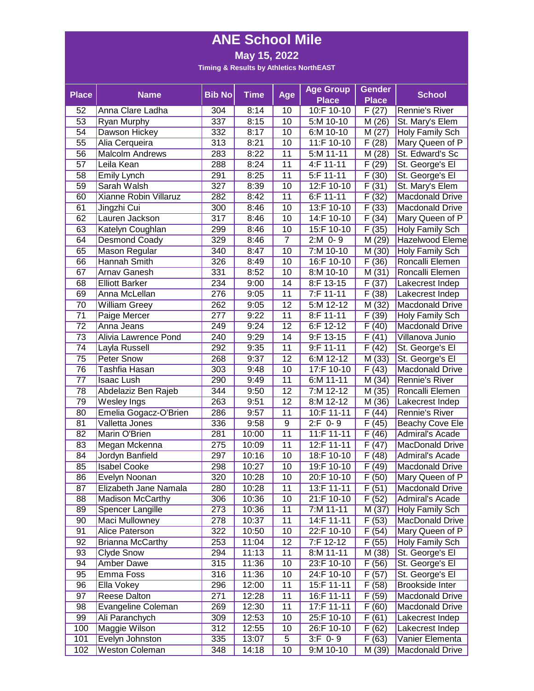# **ANE School Mile**

**May 15, 2022 Timing & Results by Athletics NorthEAST**

| <b>Place</b>    | <b>Name</b>                  | <b>Bib No</b><br><b>Time</b> |       | Age             | <b>Age Group</b> | <b>Gender</b>       | <b>School</b>          |  |
|-----------------|------------------------------|------------------------------|-------|-----------------|------------------|---------------------|------------------------|--|
|                 |                              |                              |       |                 | <b>Place</b>     | <b>Place</b>        |                        |  |
| 52              | Anna Clare Ladha             | 304                          | 8:14  | 10              | 10:F 10-10       | F(27)               | Rennie's River         |  |
| 53              | Ryan Murphy                  | 337                          | 8:15  | 10              | 5:M 10-10        | M(26)               | St. Mary's Elem        |  |
| 54              | Dawson Hickey                | 332                          | 8:17  | 10              | $6:M_10-10$      | M(27)               | <b>Holy Family Sch</b> |  |
| $\overline{55}$ | Alia Cerqueira               | 313                          | 8:21  | 10              | $11:$ F 10-10    | F(28)               | Mary Queen of P        |  |
| $\overline{56}$ | <b>Malcolm Andrews</b>       | 283                          | 8:22  | $\overline{11}$ | 5:M 11-11        | M (28)              | St. Edward's Sc        |  |
| $\overline{57}$ | Leila Kean                   | 288                          | 8:24  | 11              | 4:F 11-11        | $\overline{F}$ (29) | St. George's El        |  |
| 58              | Emily Lynch                  | 291                          | 8:25  | 11              | 5:F 11-11        | F(30)               | St. George's El        |  |
| 59              | Sarah Walsh                  | 327                          | 8:39  | 10              | $12:$ F 10-10    | $\overline{F(31)}$  | St. Mary's Elem        |  |
| 60              | <b>Xianne Robin Villaruz</b> | 282                          | 8:42  | $\overline{11}$ | 6:F 11-11        | F(32)               | <b>Macdonald Drive</b> |  |
| 61              | Jingzhi Cui                  | 300                          | 8:46  | 10              | 13:F 10-10       | F(33)               | <b>Macdonald Drive</b> |  |
| 62              | Lauren Jackson               | 317                          | 8:46  | 10              | 14:F 10-10       | F(34)               | Mary Queen of P        |  |
| 63              | Katelyn Coughlan             | 299                          | 8:46  | 10              | 15:F 10-10       | F(35)               | Holy Family Sch        |  |
| 64              | <b>Desmond Coady</b>         | 329                          | 8:46  | $\overline{7}$  | 2:M 0-9          | M (29)              | Hazelwood Eleme        |  |
| 65              | <b>Mason Regular</b>         | 340                          | 8:47  | 10              | 7:M 10-10        | M (30)              | Holy Family Sch        |  |
| 66              | <b>Hannah Smith</b>          | 326                          | 8:49  | 10              | 16:F 10-10       | F(36)               | Roncalli Elemen        |  |
| 67              | <b>Arnav Ganesh</b>          | 331                          | 8:52  | 10              | 8:M 10-10        | M(31)               | Roncalli Elemen        |  |
| 68              | <b>Elliott Barker</b>        | 234                          | 9:00  | 14              | 8:F 13-15        | F(37)               | Lakecrest Indep        |  |
| 69              | Anna McLellan                | 276                          | 9:05  | 11              | 7:F 11-11        | F(38)               | Lakecrest Indep        |  |
| 70              | <b>William Greey</b>         | 262                          | 9:05  | 12              | 5:M 12-12        | M (32)              | <b>Macdonald Drive</b> |  |
| 71              | Paige Mercer                 | 277                          | 9:22  | 11              | 8:F 11-11        | $\overline{F}$ (39) | Holy Family Sch        |  |
| $\overline{72}$ | Anna Jeans                   | 249                          | 9:24  | $\overline{12}$ | 6:F 12-12        | $\overline{F}$ (40) | <b>Macdonald Drive</b> |  |
| $\overline{73}$ | Alivia Lawrence Pond         | 240                          | 9:29  | $\overline{14}$ | $9:F 13-15$      | F(41)               | Villanova Junio        |  |
| $\overline{74}$ | Layla Russell                | 292                          | 9:35  | $\overline{11}$ | $9:F 11-11$      | F(42)               | St. George's El        |  |
| $\overline{75}$ | <b>Peter Snow</b>            | 268                          | 9:37  | $\overline{12}$ | $6: M$ 12-12     | M (33)              | St. George's El        |  |
| 76              | Tashfia Hasan                | 303                          | 9:48  | $\overline{10}$ | 17:F 10-10       | F(43)               | <b>Macdonald Drive</b> |  |
| $\overline{77}$ | <b>Isaac Lush</b>            | 290                          | 9:49  | $\overline{11}$ | $6: M 11-11$     | M(34)               | Rennie's River         |  |
| 78              | Abdelaziz Ben Rajeb          | 344                          | 9:50  | $\overline{12}$ | $7: M 12-12$     | M(35)               | Roncalli Elemen        |  |
| 79              | Wesley Ings                  | 263                          | 9:51  | $\overline{12}$ | $8: M 12 - 12$   | M (36)              | Lakecrest Indep        |  |
| 80              | Emelia Gogacz-O'Brien        | 286                          | 9:57  | $\overline{11}$ | 10:F 11-11       | $\overline{F(44)}$  | Rennie's River         |  |
| 81              | Valletta Jones               | 336                          | 9:58  | $\overline{9}$  | $2: F 0 - 9$     | $\overline{F(45)}$  | Beachy Cove Ele        |  |
| 82              | Marin O'Brien                | 281                          | 10:00 | 11              | 11:F 11-11       | $\overline{F(46)}$  | Admiral's Acade        |  |
| 83              | Megan Mckenna                | 275                          | 10:09 | $\overline{11}$ | 12:F 11-11       | F(47)               | <b>MacDonald Drive</b> |  |
| 84              | Jordyn Banfield              | 297                          | 10:16 | 10              | 18:F 10-10       | F(48)               | Admiral's Acade        |  |
| 85              | <b>Isabel Cooke</b>          | 298                          | 10:27 | 10              | 19:F 10-10       | F(49)               | <b>Macdonald Drive</b> |  |
| 86              | Evelyn Noonan                | $\overline{320}$             | 10:28 | $\overline{10}$ | 20:F 10-10       | F(50)               | Mary Queen of P        |  |
| 87              | Elizabeth Jane Namala        | 280                          | 10:28 | 11              | 13:F 11-11       | F(51)               | Macdonald Drive        |  |
| 88              | Madison McCarthy             | 306                          | 10:36 | 10              | 21:F 10-10       | F(52)               | Admiral's Acade        |  |
| 89              | Spencer Langille             | 273                          | 10:36 | 11              | 7:M 11-11        | M (37)              | Holy Family Sch        |  |
| 90              | Maci Mullowney               | 278                          | 10:37 | 11              | 14:F 11-11       | F(53)               | MacDonald Drive        |  |
| 91              | Alice Paterson               | 322                          | 10:50 | 10              | 22:F 10-10       | (54)<br>F           | Mary Queen of P        |  |
| 92              | <b>Brianna McCarthy</b>      | 253                          | 11:04 | 12              | 7:F 12-12        | F(55)               | <b>Holy Family Sch</b> |  |
| 93              | <b>Clyde Snow</b>            | 294                          | 11:13 | 11              | 8:M 11-11        | M (38)              | St. George's El        |  |
| 94              | Amber Dawe                   | 315                          | 11:36 | 10              | 23:F 10-10       | F(56)               | St. George's El        |  |
| 95              | Emma Foss                    | 316                          | 11:36 | 10              | 24:F 10-10       | F(57)               | St. George's El        |  |
| 96              | Ella Vokey                   | 296                          | 12:00 | 11              | 15:F 11-11       | $\overline{F(58)}$  | Brookside Inter        |  |
| 97              | Reese Dalton                 | 271                          | 12:28 | 11              | 16:F 11-11       | F(59)               | <b>Macdonald Drive</b> |  |
| 98              | Evangeline Coleman           | 269                          | 12:30 | 11              | 17:F 11-11       | F(60)               | <b>Macdonald Drive</b> |  |
| 99              | Ali Paranchych               | 309                          | 12:53 | 10              | 25:F 10-10       | F(61)               | Lakecrest Indep        |  |
| 100             | Maggie Wilson                | 312                          | 12:55 | 10              | 26:F 10-10       | F(62)               | Lakecrest Indep        |  |
| 101             | Evelyn Johnston              | 335                          | 13:07 | 5               | $3:F$ 0-9        | F(63)               | Vanier Elementa        |  |
| 102             | Weston Coleman               | 348                          | 14:18 | 10              | 9:M 10-10        | M (39)              | Macdonald Drive        |  |
|                 |                              |                              |       |                 |                  |                     |                        |  |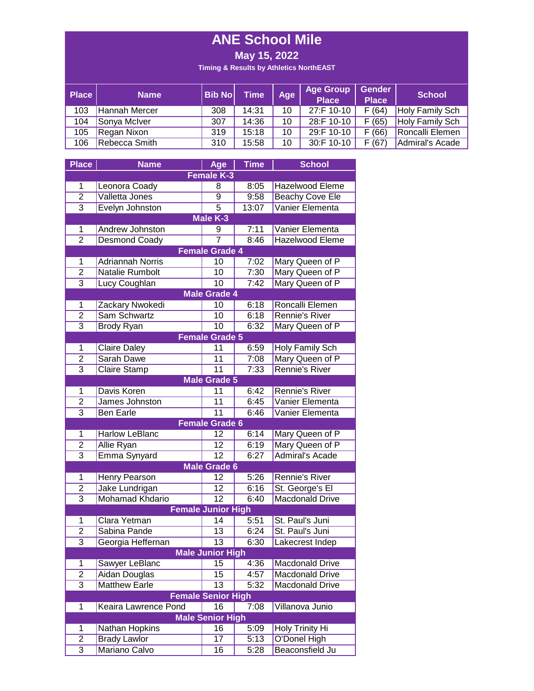# **ANE School Mile**

**May 15, 2022 Timing & Results by Athletics NorthEAST**

| Place | <b>Name</b>          | <b>Bib No</b> | Time  | Age | <b>Age Group</b><br><b>Place</b> | <b>Gender</b><br><b>Place</b> | <b>School</b>          |
|-------|----------------------|---------------|-------|-----|----------------------------------|-------------------------------|------------------------|
| 103   | <b>Hannah Mercer</b> | 308           | 14:31 | 10  | 27:F 10-10                       | F(64)                         | <b>Holy Family Sch</b> |
| 104   | Sonya McIver         | 307           | 14:36 | 10  | 28:F 10-10                       | F (65)                        | <b>Holy Family Sch</b> |
| 105   | Regan Nixon          | 319           | 15:18 | 10  | 29:F 10-10                       | F (66)                        | Roncalli Elemen        |
| 106   | Rebecca Smith        | 310           | 15:58 | 10  | 30:F 10-10                       | (67)                          | Admiral's Acade        |

| <b>Place</b>              | <b>Name</b>             | Age                       | <b>Time</b> | <b>School</b>          |  |  |  |  |  |  |
|---------------------------|-------------------------|---------------------------|-------------|------------------------|--|--|--|--|--|--|
| <b>Female K-3</b>         |                         |                           |             |                        |  |  |  |  |  |  |
| 1                         | Leonora Coady           | 8                         | 8:05        | <b>Hazelwood Eleme</b> |  |  |  |  |  |  |
| $\overline{2}$            | <b>Valletta Jones</b>   | 9                         | 9:58        | <b>Beachy Cove Ele</b> |  |  |  |  |  |  |
| 3                         | Evelyn Johnston         | $\overline{5}$            | 13:07       | Vanier Elementa        |  |  |  |  |  |  |
| Male K-3                  |                         |                           |             |                        |  |  |  |  |  |  |
| 1                         | Andrew Johnston         | 9                         | 7:11        | Vanier Elementa        |  |  |  |  |  |  |
| $\overline{2}$            | <b>Desmond Coady</b>    | $\overline{7}$            | 8:46        | Hazelwood Eleme        |  |  |  |  |  |  |
| Female Grade 4            |                         |                           |             |                        |  |  |  |  |  |  |
| 1                         | <b>Adriannah Norris</b> | 10                        | 7:02        | Mary Queen of P        |  |  |  |  |  |  |
| $\overline{2}$            | <b>Natalie Rumbolt</b>  | 10                        | 7:30        | Mary Queen of P        |  |  |  |  |  |  |
| $\overline{3}$            | Lucy Coughlan           | 10                        | 7:42        | Mary Queen of P        |  |  |  |  |  |  |
|                           |                         | <b>Male Grade 4</b>       |             |                        |  |  |  |  |  |  |
| 1                         | Zackary Nwokedi         | 10                        | 6:18        | Roncalli Elemen        |  |  |  |  |  |  |
| $\overline{2}$            | Sam Schwartz            | 10                        | 6:18        | <b>Rennie's River</b>  |  |  |  |  |  |  |
| $\overline{3}$            | <b>Brody Ryan</b>       | 10                        | 6:32        | Mary Queen of P        |  |  |  |  |  |  |
|                           |                         | <b>Female Grade 5</b>     |             |                        |  |  |  |  |  |  |
| 1                         | <b>Claire Daley</b>     | $\overline{11}$           | 6:59        | <b>Holy Family Sch</b> |  |  |  |  |  |  |
| $\overline{2}$            | <b>Sarah Dawe</b>       | 11                        | 7:08        | Mary Queen of P        |  |  |  |  |  |  |
| $\overline{3}$            | <b>Claire Stamp</b>     | 11                        | 7:33        | <b>Rennie's River</b>  |  |  |  |  |  |  |
|                           |                         | <b>Male Grade 5</b>       |             |                        |  |  |  |  |  |  |
| 1                         | Davis Koren             | 11                        | 6:42        | <b>Rennie's River</b>  |  |  |  |  |  |  |
| $\overline{2}$            | James Johnston          | $\overline{11}$           | 6:45        | Vanier Elementa        |  |  |  |  |  |  |
| $\overline{3}$            | <b>Ben Earle</b>        | $\overline{11}$           | 6:46        | Vanier Elementa        |  |  |  |  |  |  |
| <b>Female Grade 6</b>     |                         |                           |             |                        |  |  |  |  |  |  |
| 1                         | Harlow LeBlanc          | 12                        | 6:14        | Mary Queen of P        |  |  |  |  |  |  |
| $\overline{2}$            | Allie Ryan              | $\overline{12}$           | 6:19        | Mary Queen of P        |  |  |  |  |  |  |
| $\overline{3}$            | <b>Emma Synyard</b>     | $\overline{12}$           | 6:27        | <b>Admiral's Acade</b> |  |  |  |  |  |  |
| <b>Male Grade 6</b>       |                         |                           |             |                        |  |  |  |  |  |  |
| 1                         | Henry Pearson           | 12                        | 5:26        | Rennie's River         |  |  |  |  |  |  |
| $\overline{2}$            | Jake Lundrigan          | $\overline{12}$           | 6:16        | St. George's El        |  |  |  |  |  |  |
| $\overline{3}$            | <b>Mohamad Khdario</b>  | 12                        | 6:40        | <b>Macdonald Drive</b> |  |  |  |  |  |  |
|                           |                         | <b>Female Junior High</b> |             |                        |  |  |  |  |  |  |
| 1                         | Clara Yetman            | 14                        | 5:51        | St. Paul's Juni        |  |  |  |  |  |  |
| $\overline{2}$            | Sabina Pande            | 13                        | 6:24        | St. Paul's Juni        |  |  |  |  |  |  |
| $\overline{3}$            | Georgia Heffernan       | 13                        | 6:30        | Lakecrest Indep        |  |  |  |  |  |  |
|                           |                         | <b>Male Junior High</b>   |             |                        |  |  |  |  |  |  |
| 1                         | Sawyer LeBlanc          | 15                        | 4:36        | <b>Macdonald Drive</b> |  |  |  |  |  |  |
| $\overline{2}$            | <b>Aidan Douglas</b>    | $\overline{15}$           | 4:57        | <b>Macdonald Drive</b> |  |  |  |  |  |  |
| $\overline{3}$            | <b>Matthew Earle</b>    | 13                        | 5:32        | <b>Macdonald Drive</b> |  |  |  |  |  |  |
| <b>Female Senior High</b> |                         |                           |             |                        |  |  |  |  |  |  |
| 1                         | Keaira Lawrence Pond    | 16                        | 7:08        | Villanova Junio        |  |  |  |  |  |  |
|                           |                         | <b>Male Senior High</b>   |             |                        |  |  |  |  |  |  |
| 1                         | Nathan Hopkins          | 16                        | 5:09        | Holy Trinity Hi        |  |  |  |  |  |  |
| $\overline{2}$            | <b>Brady Lawlor</b>     | 17                        | 5:13        | <b>O'Donel High</b>    |  |  |  |  |  |  |
| $\overline{3}$            | Mariano Calvo           | 16                        | 5:28        | <b>Beaconsfield Ju</b> |  |  |  |  |  |  |
|                           |                         |                           |             |                        |  |  |  |  |  |  |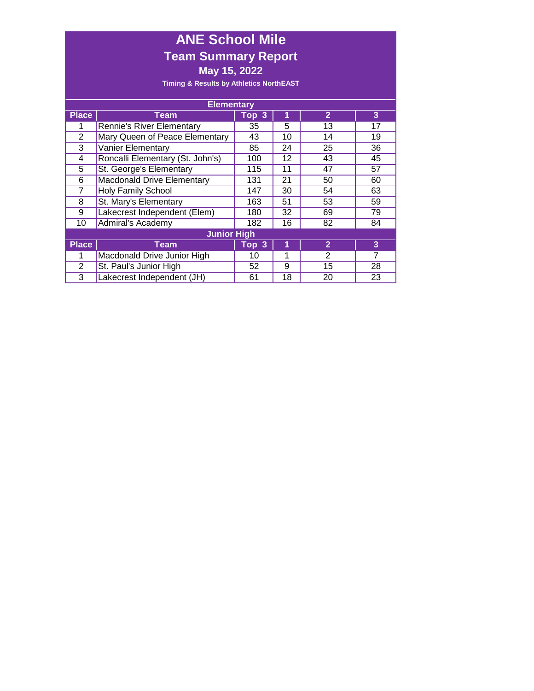### **ANE School Mile Team Summary Report**

**May 15, 2022**

**Timing & Results by Athletics NorthEAST**

| <b>Elementary</b> |                                   |                  |    |                |                |  |  |  |  |
|-------------------|-----------------------------------|------------------|----|----------------|----------------|--|--|--|--|
| <b>Place</b>      | Team                              | Top <sub>3</sub> |    | $\overline{2}$ | 3              |  |  |  |  |
|                   | <b>Rennie's River Elementary</b>  | 35               | 5  | 13             | 17             |  |  |  |  |
| 2                 | Mary Queen of Peace Elementary    | 43               | 10 | 14             | 19             |  |  |  |  |
| 3                 | Vanier Elementary                 | 85               | 24 | 25             | 36             |  |  |  |  |
| 4                 | Roncalli Elementary (St. John's)  | 100              | 12 | 43             | 45             |  |  |  |  |
| 5                 | St. George's Elementary           | 115              | 11 | 47             | 57             |  |  |  |  |
| 6                 | <b>Macdonald Drive Elementary</b> | 131              | 21 | 50             | 60             |  |  |  |  |
| 7                 | <b>Holy Family School</b>         | 147              | 30 | 54             | 63             |  |  |  |  |
| 8                 | St. Mary's Elementary             | 163              | 51 | 53             | 59             |  |  |  |  |
| 9                 | Lakecrest Independent (Elem)      | 180              | 32 | 69             | 79             |  |  |  |  |
| 10                | <b>Admiral's Academy</b>          | 182              | 16 | 82             | 84             |  |  |  |  |
|                   | <b>Junior High</b>                |                  |    |                |                |  |  |  |  |
| <b>Place</b>      | <b>Team</b>                       | Top 3            |    | $\overline{2}$ | 3              |  |  |  |  |
|                   | Macdonald Drive Junior High       | 10               | 1  | $\overline{2}$ | $\overline{7}$ |  |  |  |  |
| $\overline{2}$    | St. Paul's Junior High            | 52               | 9  | 15             | 28             |  |  |  |  |
| 3                 | Lakecrest Independent (JH)        | 61               | 18 | 20             | 23             |  |  |  |  |